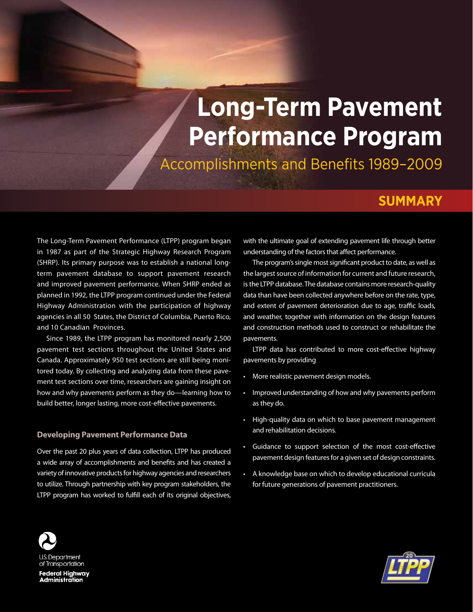# **Long-Term Pavement Performance Program**

Accomplishments and Benefits 1989–2009

# **SUMMARY**

The Long-Term Pavement Performance (LTPP) program began in 1987 as part of the Strategic Highway Research Program (SHRP). Its primary purpose was to establish a national longterm pavement database to support pavement research and improved pavement performance. When SHRP ended as planned in 1992, the LTPP program continued under the Federal Highway Administration with the participation of highway agencies in all 50 States, the District of Columbia, Puerto Rico, and 10 Canadian Provinces.

Since 1989, the LTPP program has monitored nearly 2,500 pavement test sections throughout the United States and Canada. Approximately 950 test sections are still being monitored today. By collecting and analyzing data from these pavement test sections over time, researchers are gaining insight on how and why pavements perform as they do—learning how to build better, longer lasting, more cost-effective pavements.

# **Developing Pavement Performance Data**

Over the past 20 plus years of data collection, LTPP has produced a wide array of accomplishments and benefits and has created a variety of innovative products for highway agencies and researchers to utilize. Through partnership with key program stakeholders, the LTPP program has worked to fulfill each of its original objectives,

with the ultimate goal of extending pavement life through better understanding of the factors that affect performance.

The program's single most significant product to date, as well as the largest source of information for current and future research, is the LTPP database. The database contains more research-quality data than have been collected anywhere before on the rate, type, and extent of pavement deterioration due to age, traffic loads, and weather, together with information on the design features and construction methods used to construct or rehabilitate the pavements.

LTPP data has contributed to more cost-effective highway pavements by providing

- • More realistic pavement design models.
- • Improved understanding of how and why pavements perform as they do.
- High-quality data on which to base pavement management and rehabilitation decisions.
- • Guidance to support selection of the most cost-effective pavement design features for a given set of design constraints.
- • A knowledge base on which to develop educational curricula for future generations of pavement practitioners.



Federal Highway<br>Administration

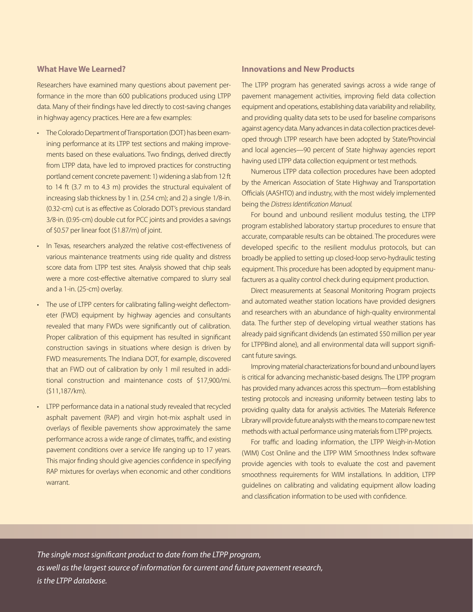# **What Have We Learned?**

Researchers have examined many questions about pavement performance in the more than 600 publications produced using LTPP data. Many of their findings have led directly to cost-saving changes in highway agency practices. Here are a few examples:

- The Colorado Department of Transportation (DOT) has been examining performance at its LTPP test sections and making improvements based on these evaluations. Two findings, derived directly from LTPP data, have led to improved practices for constructing portland cement concrete pavement: 1) widening a slab from 12 ft to 14 ft (3.7 m to 4.3 m) provides the structural equivalent of increasing slab thickness by 1 in. (2.54 cm); and 2) a single 1/8-in. (0.32-cm) cut is as effective as Colorado DOT's previous standard 3/8-in. (0.95-cm) double cut for PCC joints and provides a savings of \$0.57 per linear foot (\$1.87/m) of joint.
- In Texas, researchers analyzed the relative cost-effectiveness of various maintenance treatments using ride quality and distress score data from LTPP test sites. Analysis showed that chip seals were a more cost-effective alternative compared to slurry seal and a 1-in. (25-cm) overlay.
- The use of LTPP centers for calibrating falling-weight deflectometer (FWD) equipment by highway agencies and consultants revealed that many FWDs were significantly out of calibration. Proper calibration of this equipment has resulted in significant construction savings in situations where design is driven by FWD measurements. The Indiana DOT, for example, discovered that an FWD out of calibration by only 1 mil resulted in additional construction and maintenance costs of \$17,900/mi. (\$11,187/km).
- LTPP performance data in a national study revealed that recycled asphalt pavement (RAP) and virgin hot-mix asphalt used in overlays of flexible pavements show approximately the same performance across a wide range of climates, traffic, and existing pavement conditions over a service life ranging up to 17 years. This major finding should give agencies confidence in specifying RAP mixtures for overlays when economic and other conditions warrant.

# **Innovations and New Products**

The LTPP program has generated savings across a wide range of pavement management activities, improving field data collection equipment and operations, establishing data variability and reliability, and providing quality data sets to be used for baseline comparisons against agency data. Many advances in data collection practices developed through LTPP research have been adopted by State/Provincial and local agencies—90 percent of State highway agencies report having used LTPP data collection equipment or test methods.

Numerous LTPP data collection procedures have been adopted by the American Association of State Highway and Transportation Officials (AASHTO) and industry, with the most widely implemented being the *Distress Identification Manual.* 

For bound and unbound resilient modulus testing, the LTPP program established laboratory startup procedures to ensure that accurate, comparable results can be obtained. The procedures were developed specific to the resilient modulus protocols, but can broadly be applied to setting up closed-loop servo-hydraulic testing equipment. This procedure has been adopted by equipment manufacturers as a quality control check during equipment production.

Direct measurements at Seasonal Monitoring Program projects and automated weather station locations have provided designers and researchers with an abundance of high-quality environmental data. The further step of developing virtual weather stations has already paid significant dividends (an estimated \$50 million per year for LTPPBind alone), and all environmental data will support significant future savings.

Improving material characterizations for bound and unbound layers is critical for advancing mechanistic-based designs. The LTPP program has provided many advances across this spectrum—from establishing testing protocols and increasing uniformity between testing labs to providing quality data for analysis activities. The Materials Reference Library will provide future analysts with the means to compare new test methods with actual performance using materials from LTPP projects.

For traffic and loading information, the LTPP Weigh-in-Motion (WIM) Cost Online and the LTPP WIM Smoothness Index software provide agencies with tools to evaluate the cost and pavement smoothness requirements for WIM installations. In addition, LTPP guidelines on calibrating and validating equipment allow loading and classification information to be used with confidence.

*The single most significant product to date from the LTPP program, as well as the largest source of information for current and future pavement research, is the LTPP database.*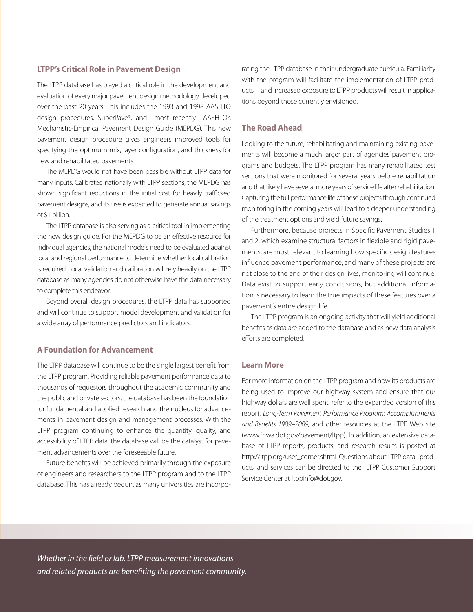# **LTPP's Critical Role in Pavement Design**

The LTPP database has played a critical role in the development and evaluation of every major pavement design methodology developed over the past 20 years. This includes the 1993 and 1998 AASHTO design procedures, SuperPave®, and—most recently—AASHTO's Mechanistic-Empirical Pavement Design Guide (MEPDG). This new pavement design procedure gives engineers improved tools for specifying the optimum mix, layer configuration, and thickness for new and rehabilitated pavements.

The MEPDG would not have been possible without LTPP data for many inputs. Calibrated nationally with LTPP sections, the MEPDG has shown significant reductions in the initial cost for heavily trafficked pavement designs, and its use is expected to generate annual savings of \$1 billion.

The LTPP database is also serving as a critical tool in implementing the new design guide. For the MEPDG to be an effective resource for individual agencies, the national models need to be evaluated against local and regional performance to determine whether local calibration is required. Local validation and calibration will rely heavily on the LTPP database as many agencies do not otherwise have the data necessary to complete this endeavor.

Beyond overall design procedures, the LTPP data has supported and will continue to support model development and validation for a wide array of performance predictors and indicators.

# **A Foundation for Advancement**

The LTPP database will continue to be the single largest benefit from the LTPP program. Providing reliable pavement performance data to thousands of requestors throughout the academic community and the public and private sectors, the database has been the foundation for fundamental and applied research and the nucleus for advancements in pavement design and management processes. With the LTPP program continuing to enhance the quantity, quality, and accessibility of LTPP data, the database will be the catalyst for pavement advancements over the foreseeable future.

Future benefits will be achieved primarily through the exposure of engineers and researchers to the LTPP program and to the LTPP database. This has already begun, as many universities are incorporating the LTPP database in their undergraduate curricula. Familiarity with the program will facilitate the implementation of LTPP products—and increased exposure to LTPP products will result in applications beyond those currently envisioned.

#### **The Road Ahead**

Looking to the future, rehabilitating and maintaining existing pavements will become a much larger part of agencies' pavement programs and budgets. The LTPP program has many rehabilitated test sections that were monitored for several years before rehabilitation and that likely have several more years of service life after rehabilitation. Capturing the full performance life of these projects through continued monitoring in the coming years will lead to a deeper understanding of the treatment options and yield future savings.

Furthermore, because projects in Specific Pavement Studies 1 and 2, which examine structural factors in flexible and rigid pavements, are most relevant to learning how specific design features influence pavement performance, and many of these projects are not close to the end of their design lives, monitoring will continue. Data exist to support early conclusions, but additional information is necessary to learn the true impacts of these features over a pavement's entire design life.

The LTPP program is an ongoing activity that will yield additional benefits as data are added to the database and as new data analysis efforts are completed.

# **Learn More**

For more information on the LTPP program and how its products are being used to improve our highway system and ensure that our highway dollars are well spent, refer to the expanded version of this report, *Long-Term Pavement Performance Program: Accomplishments and Benefits 1989–2009,* and other resources at the LTPP Web site (www.fhwa.dot.gov/pavement/ltpp). In addition, an extensive database of LTPP reports, products, and research results is posted at http://ltpp.org/user\_corner.shtml. Questions about LTPP data, products, and services can be directed to the LTPP Customer Support Service Center at ltppinfo@dot.gov.

*Whether in the field or lab, LTPP measurement innovations and related products are benefiting the pavement community.*